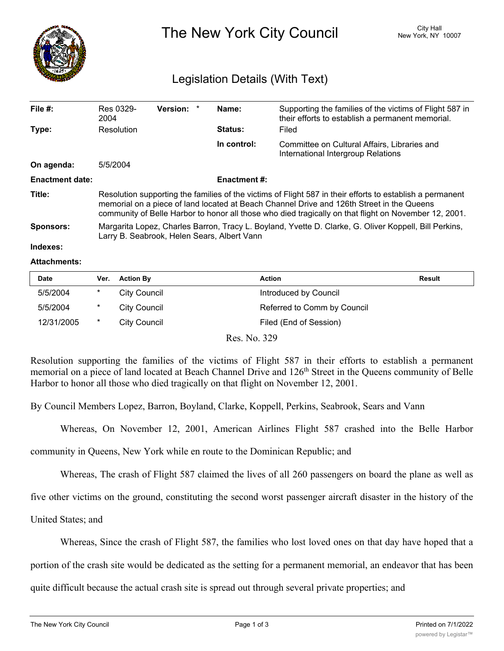

The New York City Council New York, NY 10007

# Legislation Details (With Text)

| File $#$ :             | Res 0329-<br>2004                                                                                                                                                                                                                                                                                               | <b>Version:</b> |  | Name:          | Supporting the families of the victims of Flight 587 in<br>their efforts to establish a permanent memorial. |  |  |
|------------------------|-----------------------------------------------------------------------------------------------------------------------------------------------------------------------------------------------------------------------------------------------------------------------------------------------------------------|-----------------|--|----------------|-------------------------------------------------------------------------------------------------------------|--|--|
| Type:                  | Resolution                                                                                                                                                                                                                                                                                                      |                 |  | <b>Status:</b> | Filed                                                                                                       |  |  |
|                        |                                                                                                                                                                                                                                                                                                                 |                 |  | In control:    | Committee on Cultural Affairs, Libraries and<br>International Intergroup Relations                          |  |  |
| On agenda:             | 5/5/2004                                                                                                                                                                                                                                                                                                        |                 |  |                |                                                                                                             |  |  |
| <b>Enactment date:</b> | <b>Enactment #:</b>                                                                                                                                                                                                                                                                                             |                 |  |                |                                                                                                             |  |  |
| Title:                 | Resolution supporting the families of the victims of Flight 587 in their efforts to establish a permanent<br>memorial on a piece of land located at Beach Channel Drive and 126th Street in the Queens<br>community of Belle Harbor to honor all those who died tragically on that flight on November 12, 2001. |                 |  |                |                                                                                                             |  |  |
| <b>Sponsors:</b>       | Margarita Lopez, Charles Barron, Tracy L. Boyland, Yvette D. Clarke, G. Oliver Koppell, Bill Perkins,<br>Larry B. Seabrook, Helen Sears, Albert Vann                                                                                                                                                            |                 |  |                |                                                                                                             |  |  |
| Indexes:               |                                                                                                                                                                                                                                                                                                                 |                 |  |                |                                                                                                             |  |  |

### **Attachments:**

| <b>Date</b> | Ver.   | <b>Action By</b>    | <b>Action</b>               | Result |
|-------------|--------|---------------------|-----------------------------|--------|
| 5/5/2004    | *      | <b>City Council</b> | Introduced by Council       |        |
| 5/5/2004    | $\ast$ | City Council        | Referred to Comm by Council |        |
| 12/31/2005  | *      | City Council        | Filed (End of Session)      |        |

Res. No. 329

Resolution supporting the families of the victims of Flight 587 in their efforts to establish a permanent memorial on a piece of land located at Beach Channel Drive and 126<sup>th</sup> Street in the Queens community of Belle Harbor to honor all those who died tragically on that flight on November 12, 2001.

By Council Members Lopez, Barron, Boyland, Clarke, Koppell, Perkins, Seabrook, Sears and Vann

Whereas, On November 12, 2001, American Airlines Flight 587 crashed into the Belle Harbor

community in Queens, New York while en route to the Dominican Republic; and

Whereas, The crash of Flight 587 claimed the lives of all 260 passengers on board the plane as well as

five other victims on the ground, constituting the second worst passenger aircraft disaster in the history of the

United States; and

Whereas, Since the crash of Flight 587, the families who lost loved ones on that day have hoped that a

portion of the crash site would be dedicated as the setting for a permanent memorial, an endeavor that has been

quite difficult because the actual crash site is spread out through several private properties; and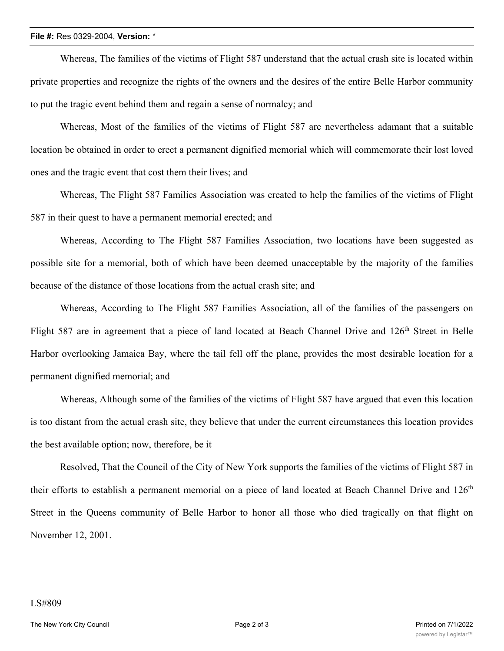## **File #:** Res 0329-2004, **Version:** \*

Whereas, The families of the victims of Flight 587 understand that the actual crash site is located within private properties and recognize the rights of the owners and the desires of the entire Belle Harbor community to put the tragic event behind them and regain a sense of normalcy; and

Whereas, Most of the families of the victims of Flight 587 are nevertheless adamant that a suitable location be obtained in order to erect a permanent dignified memorial which will commemorate their lost loved ones and the tragic event that cost them their lives; and

Whereas, The Flight 587 Families Association was created to help the families of the victims of Flight 587 in their quest to have a permanent memorial erected; and

Whereas, According to The Flight 587 Families Association, two locations have been suggested as possible site for a memorial, both of which have been deemed unacceptable by the majority of the families because of the distance of those locations from the actual crash site; and

Whereas, According to The Flight 587 Families Association, all of the families of the passengers on Flight 587 are in agreement that a piece of land located at Beach Channel Drive and 126<sup>th</sup> Street in Belle Harbor overlooking Jamaica Bay, where the tail fell off the plane, provides the most desirable location for a permanent dignified memorial; and

Whereas, Although some of the families of the victims of Flight 587 have argued that even this location is too distant from the actual crash site, they believe that under the current circumstances this location provides the best available option; now, therefore, be it

Resolved, That the Council of the City of New York supports the families of the victims of Flight 587 in their efforts to establish a permanent memorial on a piece of land located at Beach Channel Drive and  $126<sup>th</sup>$ Street in the Queens community of Belle Harbor to honor all those who died tragically on that flight on November 12, 2001.

### LS#809